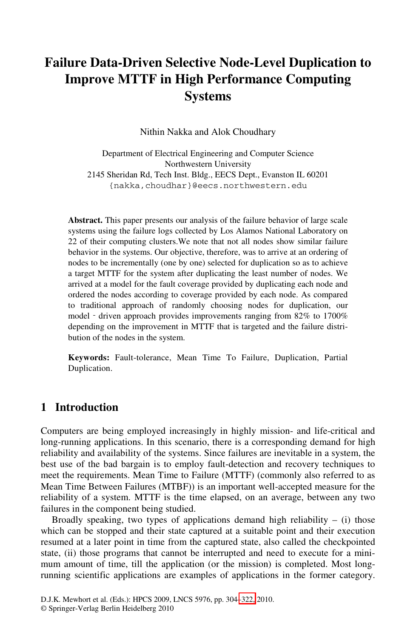# **Failure Data-Driven Selective Node-Level Duplication to Improve MTTF in High Performance Computing Systems**

Nithin Nakka and Alok Choudhary

Department of Electrical Engineering and Computer Science Northwestern University 2145 Sheridan Rd, Tech Inst. Bldg., EECS Dept., Evanston IL 60201 {nakka,choudhar}@eecs.northwestern.edu

**Abstract.** This paper presents our analysis of the failure behavior of large scale systems using the failure logs collected by Los Alamos National Laboratory on 22 of their computing clusters.We note that not all nodes show similar failure behavior in the systems. Our objective, therefore, was to arrive at an ordering of nodes to be incrementally (one by one) selected for duplication so as to achieve a target MTTF for the system after duplicating the least number of nodes. We arrived at a model for the fault coverage provided by duplicating each node and ordered the nodes according to coverage provided by each node. As compared to traditional approach of randomly choosing nodes for duplication, our model - driven approach provides improvements ranging from 82% to 1700% - driven approach provides improvements ranging from 82% to 1700%<br>ding on the improvement in MTTF that is targeted and the failure distri-<br>of the nodes in the system.<br>**ords:** Fault-tolerance, Mean Time To Failure, Duplicat depending on the improvement in MTTF that is targeted and the failure distribution of the nodes in the system.

**Keywords:** Fault-tolerance, Mean Time To Failure, Duplication, Partial Duplication.

## **1 Introduction**

Computers are being employed increasingly in highly mission- and life-critical and long-running applications. In this scenario, there is a corresponding demand for high reliability and availability of the systems. Since failures are inevitable in a system, the best use of the bad bargain is to employ fault-detection and recovery techniques to meet the requirements. Mean Time to Failure (MTTF) (commonly also referred to as Mean Time Between Failures (MTBF)) is an important well-accepted measure for the reliability of a system. MTTF is the time elapsed, on an average, between any two failures in the component being studied.

Broadly speaking, two types of applications demand high reliability  $-$  (i) those which can be stopped and their state captured at a suitable point and their execution resumed at a later point in time from the captured state, also called the checkpointed state, (ii) those programs that cannot be interrupted and need to execute for a minimum amount of time, till the application (or the mission) is completed. Most longrunning scientific applications are examples of applications in the former category.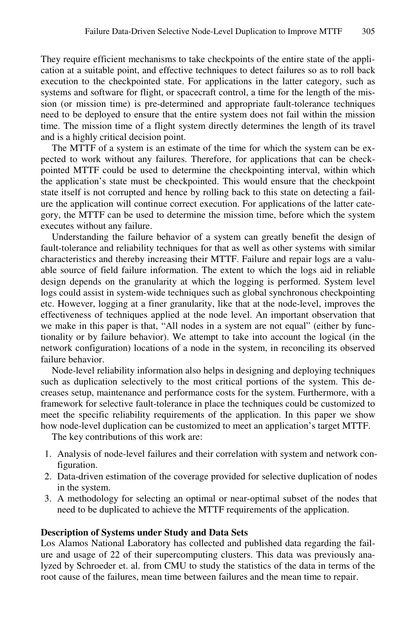They require efficient mechanisms to take checkpoints of the entire state of the application at a suitable point, and effective techniques to detect failures so as to roll back execution to the checkpointed state. For applications in the latter category, such as systems and software for flight, or spacecraft control, a time for the length of the mission (or mission time) is pre-determined and appropriate fault-tolerance techniques need to be deployed to ensure that the entire system does not fail within the mission time. The mission time of a flight system directly determines the length of its travel and is a highly critical decision point.

The MTTF of a system is an estimate of the time for which the system can be expected to work without any failures. Therefore, for applications that can be checkpointed MTTF could be used to determine the checkpointing interval, within which the application's state must be checkpointed. This would ensure that the checkpoint state itself is not corrupted and hence by rolling back to this state on detecting a failure the application will continue correct execution. For applications of the latter category, the MTTF can be used to determine the mission time, before which the system executes without any failure.

Understanding the failure behavior of a system can greatly benefit the design of fault-tolerance and reliability techniques for that as well as other systems with similar characteristics and thereby increasing their MTTF. Failure and repair logs are a valuable source of field failure information. The extent to which the logs aid in reliable design depends on the granularity at which the logging is performed. System level logs could assist in system-wide techniques such as global synchronous checkpointing etc. However, logging at a finer granularity, like that at the node-level, improves the effectiveness of techniques applied at the node level. An important observation that we make in this paper is that, "All nodes in a system are not equal" (either by functionality or by failure behavior). We attempt to take into account the logical (in the network configuration) locations of a node in the system, in reconciling its observed failure behavior.

Node-level reliability information also helps in designing and deploying techniques such as duplication selectively to the most critical portions of the system. This decreases setup, maintenance and performance costs for the system. Furthermore, with a framework for selective fault-tolerance in place the techniques could be customized to meet the specific reliability requirements of the application. In this paper we show how node-level duplication can be customized to meet an application's target MTTF.

The key contributions of this work are:

- 1. Analysis of node-level failures and their correlation with system and network configuration.
- 2. Data-driven estimation of the coverage provided for selective duplication of nodes in the system.
- 3. A methodology for selecting an optimal or near-optimal subset of the nodes that need to be duplicated to achieve the MTTF requirements of the application.

#### **Description of Systems under Study and Data Sets**

Los Alamos National Laboratory has collected and published data regarding the failure and usage of 22 of their supercomputing clusters. This data was previously analyzed by Schroeder et. al. from CMU to study the statistics of the data in terms of the root cause of the failures, mean time between failures and the mean time to repair.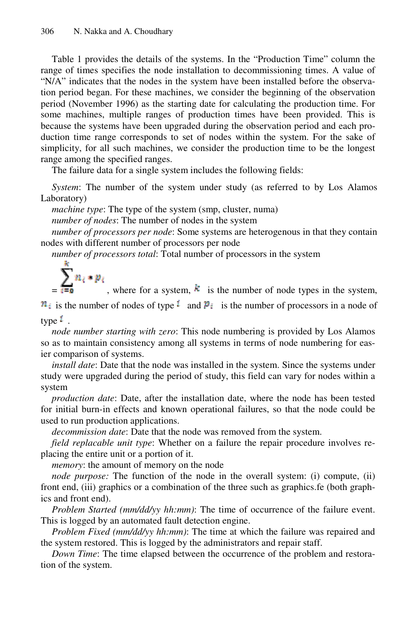Table 1 provides the details of the systems. In the "Production Time" column the range of times specifies the node installation to decommissioning times. A value of "N/A" indicates that the nodes in the system have been installed before the observation period began. For these machines, we consider the beginning of the observation period (November 1996) as the starting date for calculating the production time. For some machines, multiple ranges of production times have been provided. This is because the systems have been upgraded during the observation period and each production time range corresponds to set of nodes within the system. For the sake of simplicity, for all such machines, we consider the production time to be the longest range among the specified ranges.

The failure data for a single system includes the following fields:

*System*: The number of the system under study (as referred to by Los Alamos Laboratory)

*machine type*: The type of the system (smp, cluster, numa)

*number of nodes*: The number of nodes in the system

*number of processors per node*: Some systems are heterogenous in that they contain nodes with different number of processors per node

*number of processors total*: Total number of processors in the system

 $\sum_{k=0}^{n} n_k \cdot p_k$ , where for a system,  $k$  is the number of node types in the system,

 $\mathbf{n}_{\bar{i}}$  is the number of nodes of type  $\bar{i}$  and  $\mathbf{p}_i$  is the number of processors in a node of type  $\mathbf{i}$ .

*node number starting with zero*: This node numbering is provided by Los Alamos so as to maintain consistency among all systems in terms of node numbering for easier comparison of systems.

*install date*: Date that the node was installed in the system. Since the systems under study were upgraded during the period of study, this field can vary for nodes within a system

*production date*: Date, after the installation date, where the node has been tested for initial burn-in effects and known operational failures, so that the node could be used to run production applications.

*decommission date*: Date that the node was removed from the system.

*field replacable unit type*: Whether on a failure the repair procedure involves replacing the entire unit or a portion of it.

*memory*: the amount of memory on the node

*node purpose:* The function of the node in the overall system: (i) compute, (ii) front end, (iii) graphics or a combination of the three such as graphics.fe (both graphics and front end).

*Problem Started (mm/dd/yy hh:mm)*: The time of occurrence of the failure event. This is logged by an automated fault detection engine.

*Problem Fixed (mm/dd/yy hh:mm)*: The time at which the failure was repaired and the system restored. This is logged by the administrators and repair staff.

*Down Time*: The time elapsed between the occurrence of the problem and restoration of the system.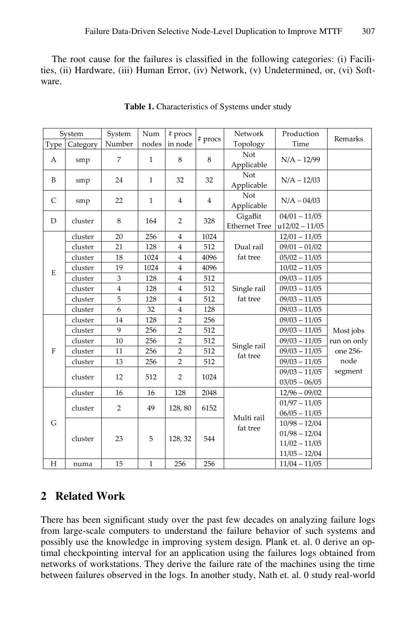The root cause for the failures is classified in the following categories: (i) Facilities, (ii) Hardware, (iii) Human Error, (iv) Network, (v) Undetermined, or, (vi) Software.

| System       |          | System         | Num          | # procs            |                | Network                         | Production                          | Remarks     |
|--------------|----------|----------------|--------------|--------------------|----------------|---------------------------------|-------------------------------------|-------------|
| Type         | Category | Number         | nodes        | # procs<br>in node |                | Topology                        | Time                                |             |
| А            | smp      | 7              | $\mathbf{1}$ | 8                  | 8              | <b>Not</b><br>Applicable        | $N/A - 12/99$                       |             |
| B            | smp      | 24             | $\mathbf{1}$ | 32                 | 32             | Not<br>Applicable               | $N/A - 12/03$                       |             |
| $\mathsf{C}$ | smp      | 22             | $\mathbf{1}$ | $\overline{4}$     | $\overline{4}$ | Not<br>Applicable               | $N/A - 04/03$                       |             |
| D            | cluster  | 8              | 164          | $\overline{2}$     | 328            | GigaBit<br><b>Ethernet Tree</b> | $04/01 - 11/05$<br>$u12/02 - 11/05$ |             |
| E            | cluster  | 20             | 256          | $\overline{4}$     | 1024           |                                 | $12/01 - 11/05$                     |             |
|              | cluster  | 21             | 128          | $\overline{4}$     | 512            | Dual rail                       | $09/01 - 01/02$                     |             |
|              | cluster  | 18             | 1024         | $\overline{4}$     | 4096           | fat tree                        | $05/02 - 11/05$                     |             |
|              | cluster  | 19             | 1024         | $\overline{4}$     | 4096           |                                 | $10/02 - 11/05$                     |             |
|              | cluster  | 3              | 128          | $\overline{4}$     | 512            |                                 | $09/03 - 11/05$                     |             |
|              | cluster  | $\overline{4}$ | 128          | $\overline{4}$     | 512            | Single rail                     | $09/03 - 11/05$                     |             |
|              | cluster  | 5              | 128          | $\overline{4}$     | 512            | fat tree                        | $09/03 - 11/05$                     |             |
|              | cluster  | 6              | 32           | $\overline{4}$     | 128            |                                 | $09/03 - 11/05$                     |             |
| F            | cluster  | 14             | 128          | $\overline{2}$     | 256            |                                 | $09/03 - 11/05$                     |             |
|              | cluster  | 9              | 256          | $\overline{2}$     | 512            |                                 | $09/03 - 11/05$                     | Most jobs   |
|              | cluster  | 10             | 256          | $\overline{2}$     | 512            |                                 | $09/03 - 11/05$                     | run on only |
|              | cluster  | 11             | 256          | $\overline{2}$     | 512            | Single rail<br>fat tree         | $09/03 - 11/05$                     | one 256-    |
|              | cluster  | 13             | 256          | $\overline{2}$     | 512            |                                 | $09/03 - 11/05$                     | node        |
|              | cluster  | 12             | 512          | $\overline{2}$     | 1024           |                                 | $09/03 - 11/05$                     | segment     |
|              |          |                |              |                    |                |                                 | $03/05 - 06/05$                     |             |
| G            | cluster  | 16             | 16           | 128                | 2048           |                                 | $12/96 - 09/02$                     |             |
|              | cluster  | $\overline{2}$ | 49           | 128,80             | 6152           |                                 | $01/97 - 11/05$                     |             |
|              |          |                |              |                    |                | Multi rail                      | $06/05 - 11/05$                     |             |
|              | cluster  | 23             | 5            | 128, 32            | 544            | fat tree                        | $10/98 - 12/04$                     |             |
|              |          |                |              |                    |                |                                 | $01/98 - 12/04$                     |             |
|              |          |                |              |                    |                |                                 | $11/02 - 11/05$                     |             |
|              |          |                |              |                    |                |                                 | $11/05 - 12/04$                     |             |
| H            | numa     | 15             | $\mathbf{1}$ | 256                | 256            |                                 | $11/04 - 11/05$                     |             |

**Table 1.** Characteristics of Systems under study

## **2 Related Work**

There has been significant study over the past few decades on analyzing failure logs from large-scale computers to understand the failure behavior of such systems and possibly use the knowledge in improving system design. Plank et. al. 0 derive an optimal checkpointing interval for an application using the failures logs obtained from networks of workstations. They derive the failure rate of the machines using the time between failures observed in the logs. In another study, Nath et. al. 0 study real-world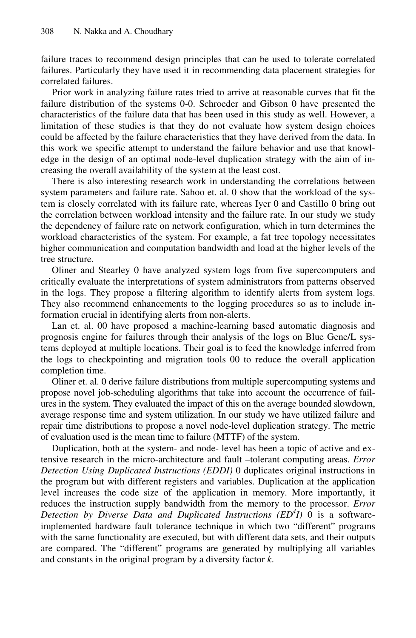failure traces to recommend design principles that can be used to tolerate correlated failures. Particularly they have used it in recommending data placement strategies for correlated failures.

Prior work in analyzing failure rates tried to arrive at reasonable curves that fit the failure distribution of the systems 0-0. Schroeder and Gibson 0 have presented the characteristics of the failure data that has been used in this study as well. However, a limitation of these studies is that they do not evaluate how system design choices could be affected by the failure characteristics that they have derived from the data. In this work we specific attempt to understand the failure behavior and use that knowledge in the design of an optimal node-level duplication strategy with the aim of increasing the overall availability of the system at the least cost.

There is also interesting research work in understanding the correlations between system parameters and failure rate. Sahoo et. al. 0 show that the workload of the system is closely correlated with its failure rate, whereas Iyer 0 and Castillo 0 bring out the correlation between workload intensity and the failure rate. In our study we study the dependency of failure rate on network configuration, which in turn determines the workload characteristics of the system. For example, a fat tree topology necessitates higher communication and computation bandwidth and load at the higher levels of the tree structure.

Oliner and Stearley 0 have analyzed system logs from five supercomputers and critically evaluate the interpretations of system administrators from patterns observed in the logs. They propose a filtering algorithm to identify alerts from system logs. They also recommend enhancements to the logging procedures so as to include information crucial in identifying alerts from non-alerts.

Lan et. al. 00 have proposed a machine-learning based automatic diagnosis and prognosis engine for failures through their analysis of the logs on Blue Gene/L systems deployed at multiple locations. Their goal is to feed the knowledge inferred from the logs to checkpointing and migration tools 00 to reduce the overall application completion time.

Oliner et. al. 0 derive failure distributions from multiple supercomputing systems and propose novel job-scheduling algorithms that take into account the occurrence of failures in the system. They evaluated the impact of this on the average bounded slowdown, average response time and system utilization. In our study we have utilized failure and repair time distributions to propose a novel node-level duplication strategy. The metric of evaluation used is the mean time to failure (MTTF) of the system.

Duplication, both at the system- and node- level has been a topic of active and extensive research in the micro-architecture and fault –tolerant computing areas. *Error Detection Using Duplicated Instructions (EDDI)* 0 duplicates original instructions in the program but with different registers and variables. Duplication at the application level increases the code size of the application in memory. More importantly, it reduces the instruction supply bandwidth from the memory to the processor. *Error Detection by Diverse Data and Duplicated Instructions (ED<sup>4</sup>I)* 0 is a softwareimplemented hardware fault tolerance technique in which two "different" programs with the same functionality are executed, but with different data sets, and their outputs are compared. The "different" programs are generated by multiplying all variables and constants in the original program by a diversity factor *k*.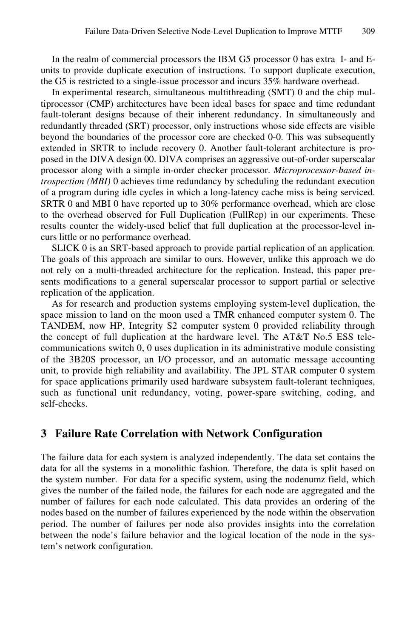In the realm of commercial processors the IBM G5 processor 0 has extra I- and Eunits to provide duplicate execution of instructions. To support duplicate execution, the G5 is restricted to a single-issue processor and incurs 35% hardware overhead.

In experimental research, simultaneous multithreading (SMT) 0 and the chip multiprocessor (CMP) architectures have been ideal bases for space and time redundant fault-tolerant designs because of their inherent redundancy. In simultaneously and redundantly threaded (SRT) processor, only instructions whose side effects are visible beyond the boundaries of the processor core are checked 0-0. This was subsequently extended in SRTR to include recovery 0. Another fault-tolerant architecture is proposed in the DIVA design 00. DIVA comprises an aggressive out-of-order superscalar processor along with a simple in-order checker processor. *Microprocessor-based introspection (MBI)* 0 achieves time redundancy by scheduling the redundant execution of a program during idle cycles in which a long-latency cache miss is being serviced. SRTR 0 and MBI 0 have reported up to 30% performance overhead, which are close to the overhead observed for Full Duplication (FullRep) in our experiments. These results counter the widely-used belief that full duplication at the processor-level incurs little or no performance overhead.

SLICK 0 is an SRT-based approach to provide partial replication of an application. The goals of this approach are similar to ours. However, unlike this approach we do not rely on a multi-threaded architecture for the replication. Instead, this paper presents modifications to a general superscalar processor to support partial or selective replication of the application.

As for research and production systems employing system-level duplication, the space mission to land on the moon used a TMR enhanced computer system 0. The TANDEM, now HP, Integrity S2 computer system 0 provided reliability through the concept of full duplication at the hardware level. The AT&T No.5 ESS telecommunications switch 0, 0 uses duplication in its administrative module consisting of the 3B20S processor, an I/O processor, and an automatic message accounting unit, to provide high reliability and availability. The JPL STAR computer 0 system for space applications primarily used hardware subsystem fault-tolerant techniques, such as functional unit redundancy, voting, power-spare switching, coding, and self-checks.

#### **3 Failure Rate Correlation with Network Configuration**

The failure data for each system is analyzed independently. The data set contains the data for all the systems in a monolithic fashion. Therefore, the data is split based on the system number. For data for a specific system, using the nodenumz field, which gives the number of the failed node, the failures for each node are aggregated and the number of failures for each node calculated. This data provides an ordering of the nodes based on the number of failures experienced by the node within the observation period. The number of failures per node also provides insights into the correlation between the node's failure behavior and the logical location of the node in the system's network configuration.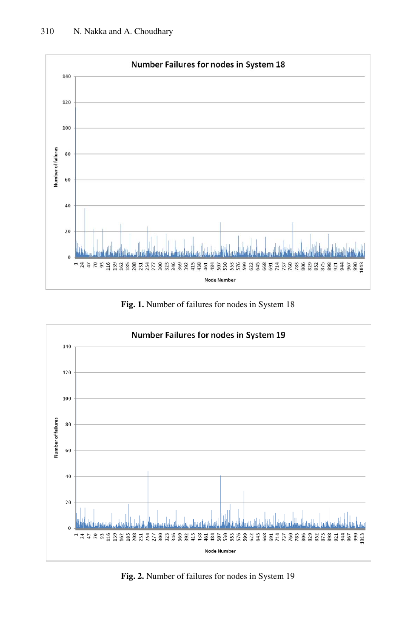

**Fig. 1.** Number of failures for nodes in System 18



**Fig. 2.** Number of failures for nodes in System 19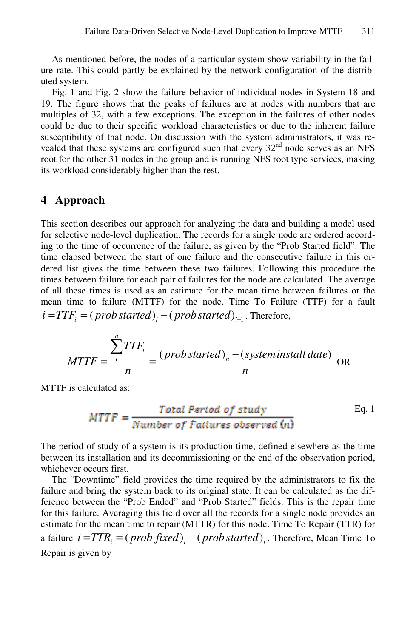As mentioned before, the nodes of a particular system show variability in the failure rate. This could partly be explained by the network configuration of the distributed system.

Fig. 1 and Fig. 2 show the failure behavior of individual nodes in System 18 and 19. The figure shows that the peaks of failures are at nodes with numbers that are multiples of 32, with a few exceptions. The exception in the failures of other nodes could be due to their specific workload characteristics or due to the inherent failure susceptibility of that node. On discussion with the system administrators, it was revealed that these systems are configured such that every  $32<sup>nd</sup>$  node serves as an NFS root for the other 31 nodes in the group and is running NFS root type services, making its workload considerably higher than the rest.

### **4 Approach**

This section describes our approach for analyzing the data and building a model used for selective node-level duplication. The records for a single node are ordered according to the time of occurrence of the failure, as given by the "Prob Started field". The time elapsed between the start of one failure and the consecutive failure in this ordered list gives the time between these two failures. Following this procedure the times between failure for each pair of failures for the node are calculated. The average of all these times is used as an estimate for the mean time between failures or the mean time to failure (MTTF) for the node. Time To Failure (TTF) for a fault  $i = TTF_i = (prob started)_i - (prob started)_{i-1}$ . Therefore,

$$
MTTF = \frac{\sum_{i}^{n} TTF_{i}}{n} = \frac{(prob\, started)_{n} - (system in stall\, date)}{n}
$$
 OR

MTTF is calculated as:

$$
MTTF = \frac{Total Period of study}{Number of Faltures observed (n)}
$$
 Eq. 1

The period of study of a system is its production time, defined elsewhere as the time between its installation and its decommissioning or the end of the observation period, whichever occurs first.

The "Downtime" field provides the time required by the administrators to fix the failure and bring the system back to its original state. It can be calculated as the difference between the "Prob Ended" and "Prob Started" fields. This is the repair time for this failure. Averaging this field over all the records for a single node provides an estimate for the mean time to repair (MTTR) for this node. Time To Repair (TTR) for a failure  $i = TTR<sub>i</sub> = (prob fixed)<sub>i</sub> − (prob started)<sub>i</sub>$ . Therefore, Mean Time To Repair is given by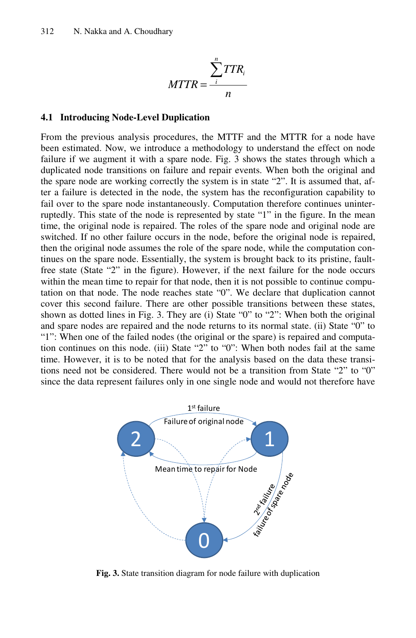$$
MTTR = \frac{\sum_{i}^{n} TTR_{i}}{n}
$$

#### **4.1 Introducing Node-Level Duplication**

From the previous analysis procedures, the MTTF and the MTTR for a node have been estimated. Now, we introduce a methodology to understand the effect on node failure if we augment it with a spare node. Fig. 3 shows the states through which a duplicated node transitions on failure and repair events. When both the original and the spare node are working correctly the system is in state "2". It is assumed that, after a failure is detected in the node, the system has the reconfiguration capability to fail over to the spare node instantaneously. Computation therefore continues uninterruptedly. This state of the node is represented by state "1" in the figure. In the mean time, the original node is repaired. The roles of the spare node and original node are switched. If no other failure occurs in the node, before the original node is repaired, then the original node assumes the role of the spare node, while the computation continues on the spare node. Essentially, the system is brought back to its pristine, faultfree state (State "2" in the figure). However, if the next failure for the node occurs within the mean time to repair for that node, then it is not possible to continue computation on that node. The node reaches state "0". We declare that duplication cannot cover this second failure. There are other possible transitions between these states, shown as dotted lines in Fig. 3. They are (i) State "0" to "2": When both the original and spare nodes are repaired and the node returns to its normal state. (ii) State "0" to "1": When one of the failed nodes (the original or the spare) is repaired and computation continues on this node. (iii) State "2" to "0": When both nodes fail at the same time. However, it is to be noted that for the analysis based on the data these transitions need not be considered. There would not be a transition from State "2" to "0" since the data represent failures only in one single node and would not therefore have



**Fig. 3.** State transition diagram for node failure with duplication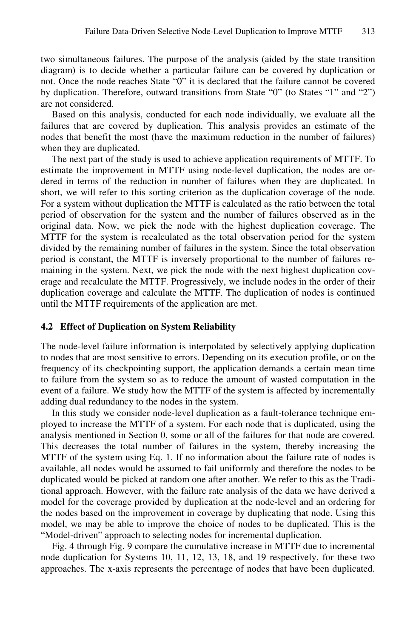two simultaneous failures. The purpose of the analysis (aided by the state transition diagram) is to decide whether a particular failure can be covered by duplication or not. Once the node reaches State "0" it is declared that the failure cannot be covered by duplication. Therefore, outward transitions from State "0" (to States "1" and "2") are not considered.

Based on this analysis, conducted for each node individually, we evaluate all the failures that are covered by duplication. This analysis provides an estimate of the nodes that benefit the most (have the maximum reduction in the number of failures) when they are duplicated.

The next part of the study is used to achieve application requirements of MTTF. To estimate the improvement in MTTF using node-level duplication, the nodes are ordered in terms of the reduction in number of failures when they are duplicated. In short, we will refer to this sorting criterion as the duplication coverage of the node. For a system without duplication the MTTF is calculated as the ratio between the total period of observation for the system and the number of failures observed as in the original data. Now, we pick the node with the highest duplication coverage. The MTTF for the system is recalculated as the total observation period for the system divided by the remaining number of failures in the system. Since the total observation period is constant, the MTTF is inversely proportional to the number of failures remaining in the system. Next, we pick the node with the next highest duplication coverage and recalculate the MTTF. Progressively, we include nodes in the order of their duplication coverage and calculate the MTTF. The duplication of nodes is continued until the MTTF requirements of the application are met.

#### **4.2 Effect of Duplication on System Reliability**

The node-level failure information is interpolated by selectively applying duplication to nodes that are most sensitive to errors. Depending on its execution profile, or on the frequency of its checkpointing support, the application demands a certain mean time to failure from the system so as to reduce the amount of wasted computation in the event of a failure. We study how the MTTF of the system is affected by incrementally adding dual redundancy to the nodes in the system.

In this study we consider node-level duplication as a fault-tolerance technique employed to increase the MTTF of a system. For each node that is duplicated, using the analysis mentioned in Section 0, some or all of the failures for that node are covered. This decreases the total number of failures in the system, thereby increasing the MTTF of the system using Eq. 1. If no information about the failure rate of nodes is available, all nodes would be assumed to fail uniformly and therefore the nodes to be duplicated would be picked at random one after another. We refer to this as the Traditional approach. However, with the failure rate analysis of the data we have derived a model for the coverage provided by duplication at the node-level and an ordering for the nodes based on the improvement in coverage by duplicating that node. Using this model, we may be able to improve the choice of nodes to be duplicated. This is the "Model-driven" approach to selecting nodes for incremental duplication.

Fig. 4 through Fig. 9 compare the cumulative increase in MTTF due to incremental node duplication for Systems 10, 11, 12, 13, 18, and 19 respectively, for these two approaches. The x-axis represents the percentage of nodes that have been duplicated.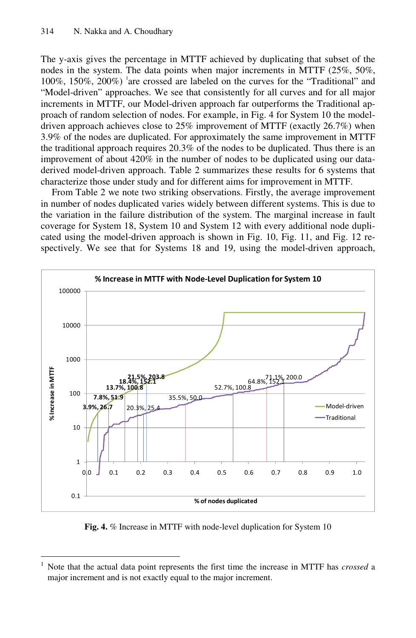l

The y-axis gives the percentage in MTTF achieved by duplicating that subset of the nodes in the system. The data points when major increments in MTTF (25%, 50%, 100%, 150%, 200%) <sup>1</sup> are crossed are labeled on the curves for the "Traditional" and "Model-driven" approaches. We see that consistently for all curves and for all major increments in MTTF, our Model-driven approach far outperforms the Traditional approach of random selection of nodes. For example, in Fig. 4 for System 10 the modeldriven approach achieves close to 25% improvement of MTTF (exactly 26.7%) when 3.9% of the nodes are duplicated. For approximately the same improvement in MTTF the traditional approach requires 20.3% of the nodes to be duplicated. Thus there is an improvement of about 420% in the number of nodes to be duplicated using our dataderived model-driven approach. Table 2 summarizes these results for 6 systems that characterize those under study and for different aims for improvement in MTTF.

From Table 2 we note two striking observations. Firstly, the average improvement in number of nodes duplicated varies widely between different systems. This is due to the variation in the failure distribution of the system. The marginal increase in fault coverage for System 18, System 10 and System 12 with every additional node duplicated using the model-driven approach is shown in Fig. 10, Fig. 11, and Fig. 12 respectively. We see that for Systems 18 and 19, using the model-driven approach,



**Fig. 4.** % Increase in MTTF with node-level duplication for System 10

<sup>1</sup> Note that the actual data point represents the first time the increase in MTTF has *crossed* a major increment and is not exactly equal to the major increment.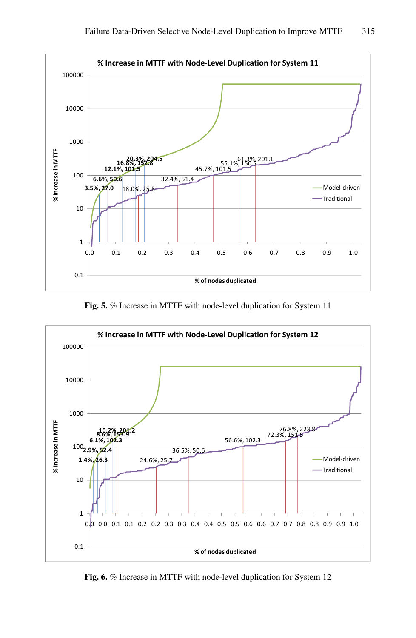

**Fig. 5.** % Increase in MTTF with node-level duplication for System 11



**Fig. 6.** % Increase in MTTF with node-level duplication for System 12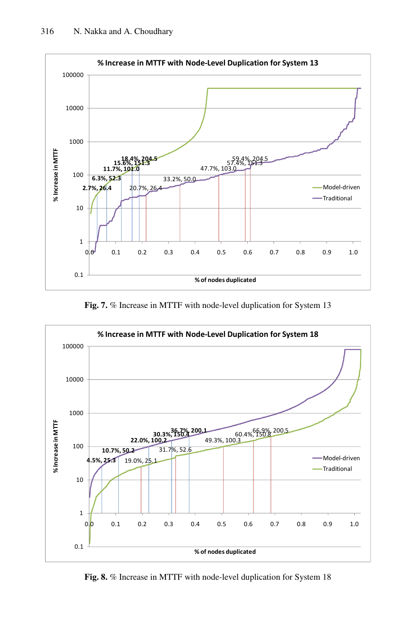

**Fig. 7.** % Increase in MTTF with node-level duplication for System 13



**Fig. 8.** % Increase in MTTF with node-level duplication for System 18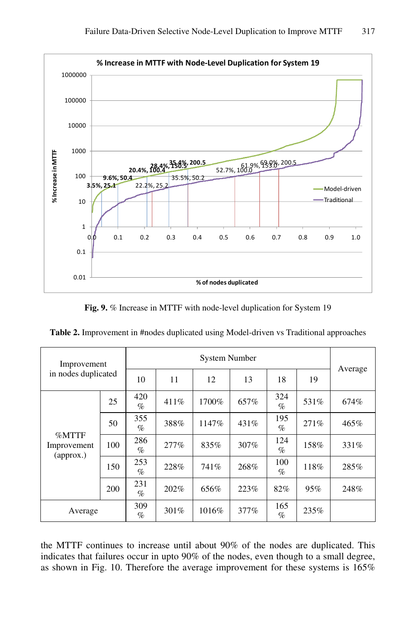

**Fig. 9.** % Increase in MTTF with node-level duplication for System 19

| Improvement<br>in nodes duplicated                 |     |             |      |        |      |             |      |         |
|----------------------------------------------------|-----|-------------|------|--------|------|-------------|------|---------|
|                                                    |     | 10          | 11   | 12     | 13   | 18          | 19   | Average |
|                                                    | 25  | 420<br>$\%$ | 411% | 1700\% | 657% | 324<br>$\%$ | 531% | 674%    |
|                                                    | 50  | 355<br>$\%$ | 388% | 1147%  | 431% | 195<br>$\%$ | 271% | 465%    |
| %MTTF<br>Improvement<br>$\left($ approx. $\right)$ | 100 | 286<br>$\%$ | 277% | 835%   | 307% | 124<br>$\%$ | 158% | 331\%   |
|                                                    | 150 | 253<br>$\%$ | 228% | 741%   | 268% | 100<br>$\%$ | 118% | 285%    |
|                                                    | 200 | 231<br>$\%$ | 202% | 656%   | 223% | 82%         | 95%  | 248%    |
| Average                                            |     | 309<br>$\%$ | 301% | 1016\% | 377% | 165<br>$\%$ | 235% |         |

**Table 2.** Improvement in #nodes duplicated using Model-driven vs Traditional approaches

the MTTF continues to increase until about 90% of the nodes are duplicated. This indicates that failures occur in upto 90% of the nodes, even though to a small degree, as shown in Fig. 10. Therefore the average improvement for these systems is 165%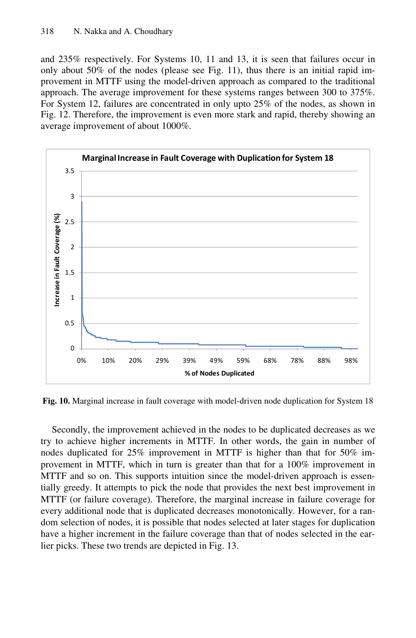and 235% respectively. For Systems 10, 11 and 13, it is seen that failures occur in only about 50% of the nodes (please see Fig. 11), thus there is an initial rapid improvement in MTTF using the model-driven approach as compared to the traditional approach. The average improvement for these systems ranges between 300 to 375%. For System 12, failures are concentrated in only upto 25% of the nodes, as shown in Fig. 12. Therefore, the improvement is even more stark and rapid, thereby showing an average improvement of about 1000%.



**Fig. 10.** Marginal increase in fault coverage with model-driven node duplication for System 18

Secondly, the improvement achieved in the nodes to be duplicated decreases as we try to achieve higher increments in MTTF. In other words, the gain in number of nodes duplicated for 25% improvement in MTTF is higher than that for 50% improvement in MTTF, which in turn is greater than that for a 100% improvement in MTTF and so on. This supports intuition since the model-driven approach is essentially greedy. It attempts to pick the node that provides the next best improvement in MTTF (or failure coverage). Therefore, the marginal increase in failure coverage for every additional node that is duplicated decreases monotonically. However, for a random selection of nodes, it is possible that nodes selected at later stages for duplication have a higher increment in the failure coverage than that of nodes selected in the earlier picks. These two trends are depicted in Fig. 13.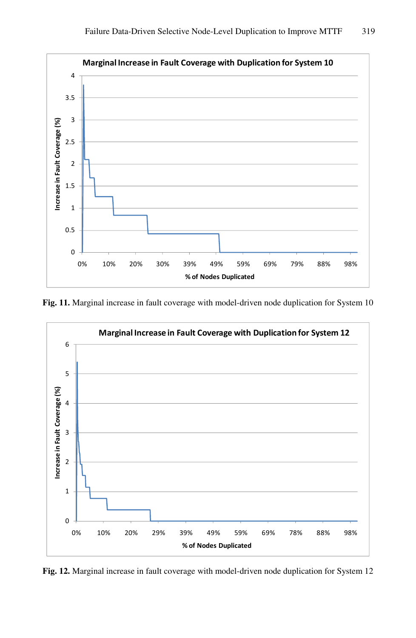

**Fig. 11.** Marginal increase in fault coverage with model-driven node duplication for System 10



**Fig. 12.** Marginal increase in fault coverage with model-driven node duplication for System 12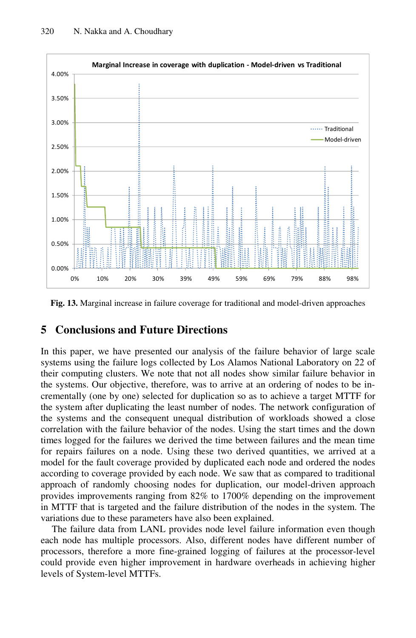

**Fig. 13.** Marginal increase in failure coverage for traditional and model-driven approaches

## **5 Conclusions and Future Directions**

In this paper, we have presented our analysis of the failure behavior of large scale systems using the failure logs collected by Los Alamos National Laboratory on 22 of their computing clusters. We note that not all nodes show similar failure behavior in the systems. Our objective, therefore, was to arrive at an ordering of nodes to be incrementally (one by one) selected for duplication so as to achieve a target MTTF for the system after duplicating the least number of nodes. The network configuration of the systems and the consequent unequal distribution of workloads showed a close correlation with the failure behavior of the nodes. Using the start times and the down times logged for the failures we derived the time between failures and the mean time for repairs failures on a node. Using these two derived quantities, we arrived at a model for the fault coverage provided by duplicated each node and ordered the nodes according to coverage provided by each node. We saw that as compared to traditional approach of randomly choosing nodes for duplication, our model-driven approach provides improvements ranging from 82% to 1700% depending on the improvement in MTTF that is targeted and the failure distribution of the nodes in the system. The variations due to these parameters have also been explained.

The failure data from LANL provides node level failure information even though each node has multiple processors. Also, different nodes have different number of processors, therefore a more fine-grained logging of failures at the processor-level could provide even higher improvement in hardware overheads in achieving higher levels of System-level MTTFs.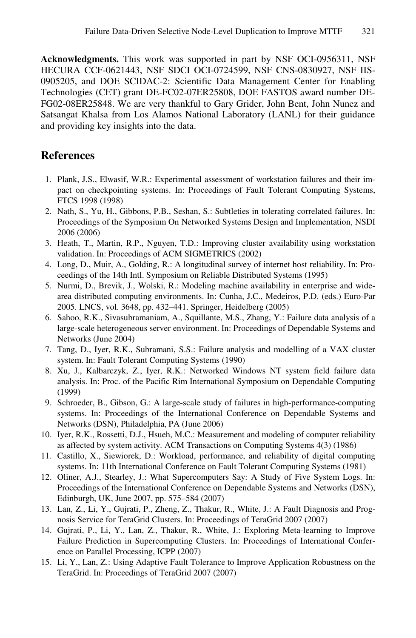**Acknowledgments.** This work was supported in part by NSF OCI-0956311, NSF HECURA CCF-0621443, NSF SDCI OCI-0724599, NSF CNS-0830927, NSF IIS-0905205, and DOE SCIDAC-2: Scientific Data Management Center for Enabling Technologies (CET) grant DE-FC02-07ER25808, DOE FASTOS award number DE-FG02-08ER25848. We are very thankful to Gary Grider, John Bent, John Nunez and Satsangat Khalsa from Los Alamos National Laboratory (LANL) for their guidance and providing key insights into the data.

### **References**

- 1. Plank, J.S., Elwasif, W.R.: Experimental assessment of workstation failures and their impact on checkpointing systems. In: Proceedings of Fault Tolerant Computing Systems, FTCS 1998 (1998)
- 2. Nath, S., Yu, H., Gibbons, P.B., Seshan, S.: Subtleties in tolerating correlated failures. In: Proceedings of the Symposium On Networked Systems Design and Implementation, NSDI 2006 (2006)
- 3. Heath, T., Martin, R.P., Nguyen, T.D.: Improving cluster availability using workstation validation. In: Proceedings of ACM SIGMETRICS (2002)
- 4. Long, D., Muir, A., Golding, R.: A longitudinal survey of internet host reliability. In: Proceedings of the 14th Intl. Symposium on Reliable Distributed Systems (1995)
- 5. Nurmi, D., Brevik, J., Wolski, R.: Modeling machine availability in enterprise and widearea distributed computing environments. In: Cunha, J.C., Medeiros, P.D. (eds.) Euro-Par 2005. LNCS, vol. 3648, pp. 432–441. Springer, Heidelberg (2005)
- 6. Sahoo, R.K., Sivasubramaniam, A., Squillante, M.S., Zhang, Y.: Failure data analysis of a large-scale heterogeneous server environment. In: Proceedings of Dependable Systems and Networks (June 2004)
- 7. Tang, D., Iyer, R.K., Subramani, S.S.: Failure analysis and modelling of a VAX cluster system. In: Fault Tolerant Computing Systems (1990)
- 8. Xu, J., Kalbarczyk, Z., Iyer, R.K.: Networked Windows NT system field failure data analysis. In: Proc. of the Pacific Rim International Symposium on Dependable Computing (1999)
- 9. Schroeder, B., Gibson, G.: A large-scale study of failures in high-performance-computing systems. In: Proceedings of the International Conference on Dependable Systems and Networks (DSN), Philadelphia, PA (June 2006)
- 10. Iyer, R.K., Rossetti, D.J., Hsueh, M.C.: Measurement and modeling of computer reliability as affected by system activity. ACM Transactions on Computing Systems 4(3) (1986)
- 11. Castillo, X., Siewiorek, D.: Workload, performance, and reliability of digital computing systems. In: 11th International Conference on Fault Tolerant Computing Systems (1981)
- 12. Oliner, A.J., Stearley, J.: What Supercomputers Say: A Study of Five System Logs. In: Proceedings of the International Conference on Dependable Systems and Networks (DSN), Edinburgh, UK, June 2007, pp. 575–584 (2007)
- 13. Lan, Z., Li, Y., Gujrati, P., Zheng, Z., Thakur, R., White, J.: A Fault Diagnosis and Prognosis Service for TeraGrid Clusters. In: Proceedings of TeraGrid 2007 (2007)
- 14. Gujrati, P., Li, Y., Lan, Z., Thakur, R., White, J.: Exploring Meta-learning to Improve Failure Prediction in Supercomputing Clusters. In: Proceedings of International Conference on Parallel Processing, ICPP (2007)
- 15. Li, Y., Lan, Z.: Using Adaptive Fault Tolerance to Improve Application Robustness on the TeraGrid. In: Proceedings of TeraGrid 2007 (2007)